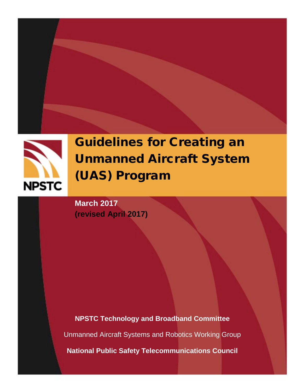

# Guidelines for Creating an Unmanned Aircraft System (UAS) Program

**March 2017 (revised April 2017)**

**NPSTC Technology and Broadband Committee** Unmanned Aircraft Systems and Robotics Working Group **National Public Safety Telecommunications Council**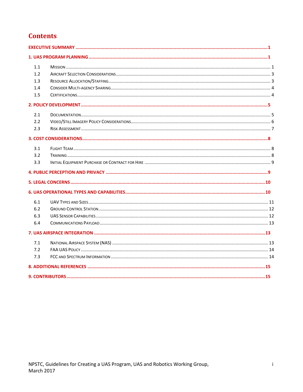## **Contents**

| 1.1 |  |  |  |  |
|-----|--|--|--|--|
| 1.2 |  |  |  |  |
| 1.3 |  |  |  |  |
| 1.4 |  |  |  |  |
| 1.5 |  |  |  |  |
|     |  |  |  |  |
| 2.1 |  |  |  |  |
| 2.2 |  |  |  |  |
| 2.3 |  |  |  |  |
|     |  |  |  |  |
| 3.1 |  |  |  |  |
| 3.2 |  |  |  |  |
| 3.3 |  |  |  |  |
|     |  |  |  |  |
|     |  |  |  |  |
|     |  |  |  |  |
| 6.1 |  |  |  |  |
| 6.2 |  |  |  |  |
| 6.3 |  |  |  |  |
| 6.4 |  |  |  |  |
|     |  |  |  |  |
| 7.1 |  |  |  |  |
| 7.2 |  |  |  |  |
| 7.3 |  |  |  |  |
|     |  |  |  |  |
|     |  |  |  |  |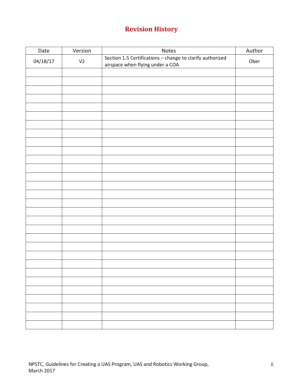## **Revision History**

| Date     | Version        | Notes                                                                                         | Author |
|----------|----------------|-----------------------------------------------------------------------------------------------|--------|
| 04/18/17 | V <sub>2</sub> | Section 1.5 Certifications - change to clarify authorized<br>airspace when flying under a COA | Ober   |
|          |                |                                                                                               |        |
|          |                |                                                                                               |        |
|          |                |                                                                                               |        |
|          |                |                                                                                               |        |
|          |                |                                                                                               |        |
|          |                |                                                                                               |        |
|          |                |                                                                                               |        |
|          |                |                                                                                               |        |
|          |                |                                                                                               |        |
|          |                |                                                                                               |        |
|          |                |                                                                                               |        |
|          |                |                                                                                               |        |
|          |                |                                                                                               |        |
|          |                |                                                                                               |        |
|          |                |                                                                                               |        |
|          |                |                                                                                               |        |
|          |                |                                                                                               |        |
|          |                |                                                                                               |        |
|          |                |                                                                                               |        |
|          |                |                                                                                               |        |
|          |                |                                                                                               |        |
|          |                |                                                                                               |        |
|          |                |                                                                                               |        |
|          |                |                                                                                               |        |
|          |                |                                                                                               |        |
|          |                |                                                                                               |        |
|          |                |                                                                                               |        |
|          |                |                                                                                               |        |
|          |                |                                                                                               |        |
|          |                |                                                                                               |        |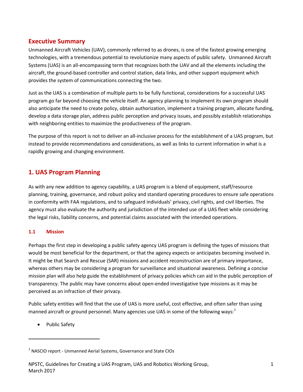#### <span id="page-3-0"></span>**Executive Summary**

Unmanned Aircraft Vehicles (UAV), commonly referred to as drones, is one of the fastest growing emerging technologies, with a tremendous potential to revolutionize many aspects of public safety. Unmanned Aircraft Systems (UAS) is an all-encompassing term that recognizes both the UAV and all the elements including the aircraft, the ground-based controller and control station, data links, and other support equipment which provides the system of communications connecting the two.

Just as the UAS is a combination of multiple parts to be fully functional, considerations for a successful UAS program go far beyond choosing the vehicle itself. An agency planning to implement its own program should also anticipate the need to create policy, obtain authorization, implement a training program, allocate funding, develop a data storage plan, address public perception and privacy issues, and possibly establish relationships with neighboring entities to maximize the productiveness of the program.

The purpose of this report is not to deliver an all-inclusive process for the establishment of a UAS program, but instead to provide recommendations and considerations, as well as links to current information in what is a rapidly growing and changing environment.

## <span id="page-3-1"></span>**1. UAS Program Planning**

As with any new addition to agency capability, a UAS program is a blend of equipment, staff/resource planning, training, governance, and robust policy and standard operating procedures to ensure safe operations in conformity with FAA regulations, and to safeguard individuals' privacy, civil rights, and civil liberties. The agency must also evaluate the authority and jurisdiction of the intended use of a UAS fleet while considering the legal risks, liability concerns, and potential claims associated with the intended operations.

#### <span id="page-3-2"></span>**1.1 Mission**

Perhaps the first step in developing a public safety agency UAS program is defining the types of missions that would be most beneficial for the department, or that the agency expects or anticipates becoming involved in. It might be that Search and Rescue (SAR) missions and accident reconstruction are of primary importance, whereas others may be considering a program for surveillance and situational awareness. Defining a concise mission plan will also help guide the establishment of privacy policies which can aid in the public perception of transparency. The public may have concerns about open-ended investigative type missions as it may be perceived as an infraction of their privacy.

Public safety entities will find that the use of UAS is more useful, cost effective, and often safer than using manned aircraft or ground personnel. Many agencies use UAS in some of the following ways: $1$ 

• Public Safety

<span id="page-3-3"></span> $1$  NASCIO report - Unmanned Aerial Systems, Governance and State CIOs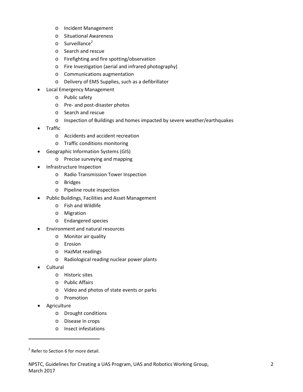- o Incident Management
- o Situational Awareness
- $\circ$  Surveillance<sup>[2](#page-4-0)</sup>
- o Search and rescue
- o Firefighting and fire spotting/observation
- o Fire Investigation (aerial and infrared photography)
- o Communications augmentation
- o Delivery of EMS Supplies, such as a defibrillator
- Local Emergency Management
	- o Public safety
	- o Pre- and post-disaster photos
	- o Search and rescue
	- o Inspection of Buildings and homes impacted by severe weather/earthquakes
- Traffic
	- o Accidents and accident recreation
	- o Traffic conditions monitoring
- Geographic Information Systems (GIS)
	- o Precise surveying and mapping
- Infrastructure Inspection
	- o Radio Transmission Tower Inspection
	- o Bridges
	- o Pipeline route inspection
- Public Buildings, Facilities and Asset Management
	- o Fish and Wildlife
	- o Migration
	- o Endangered species
- Environment and natural resources
	- o Monitor air quality
	- o Erosion
	- o HazMat readings
	- o Radiological reading nuclear power plants
- Cultural
	- o Historic sites
	- o Public Affairs
	- o Video and photos of state events or parks
	- o Promotion
- **Agriculture**

- o Drought conditions
- o Disease in crops
- o Insect infestations

<span id="page-4-0"></span> $2$  Refer to Section 6 for more detail.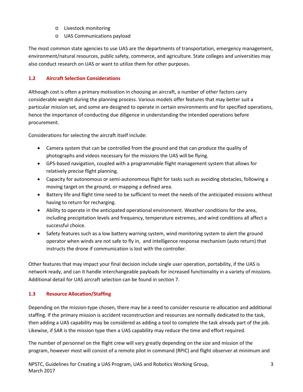- o Livestock monitoring
- o UAS Communications payload

The most common state agencies to use UAS are the departments of transportation, emergency management, environment/natural resources, public safety, commerce, and agriculture. State colleges and universities may also conduct research on UAS or want to utilize them for other purposes.

#### <span id="page-5-0"></span>**1.2 Aircraft Selection Considerations**

Although cost is often a primary motivation in choosing an aircraft, a number of other factors carry considerable weight during the planning process. Various models offer features that may better suit a particular mission set, and some are designed to operate in certain environments and for specified operations, hence the importance of conducting due diligence in understanding the intended operations before procurement.

Considerations for selecting the aircraft itself include:

- Camera system that can be controlled from the ground and that can produce the quality of photographs and videos necessary for the missions the UAS will be flying.
- GPS-based navigation, coupled with a programmable flight management system that allows for relatively precise flight planning.
- Capacity for autonomous or semi-autonomous flight for tasks such as avoiding obstacles, following a moving target on the ground, or mapping a defined area.
- Battery life and flight time need to be sufficient to meet the needs of the anticipated missions without having to return for recharging.
- Ability to operate in the anticipated operational environment. Weather conditions for the area, including precipitation levels and frequency, temperature extremes, and wind conditions all affect a successful choice.
- Safety features such as a low battery warning system, wind monitoring system to alert the ground operator when winds are not safe to fly in, and intelligence response mechanism (auto return) that instructs the drone if communication is lost with the controller.

Other features that may impact your final decision include single user operation, portability, if the UAS is network ready, and can it handle interchangeable payloads for increased functionality in a variety of missions. Additional detail for UAS aircraft selection can be found in section 7.

## <span id="page-5-1"></span>**1.3 Resource Allocation/Staffing**

Depending on the mission-type chosen, there may be a need to consider resource re-allocation and additional staffing. If the primary mission is accident reconstruction and resources are normally dedicated to the task, then adding a UAS capability may be considered as adding a tool to complete the task already part of the job. Likewise, if SAR is the mission type then a UAS capability may reduce the time and effort required.

The number of personnel on the flight crew will vary greatly depending on the size and mission of the program, however most will consist of a remote pilot in command (RPIC) and flight observer at minimum and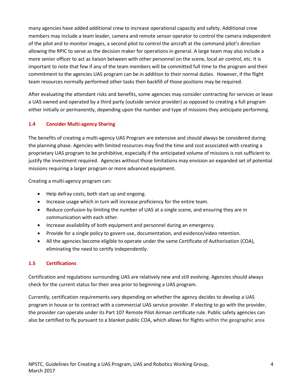many agencies have added additional crew to increase operational capacity and safety. Additional crew members may include a team leader, camera and remote sensor operator to control the camera independent of the pilot and to monitor images, a second pilot to control the aircraft at the command pilot's direction allowing the RPIC to serve as the decision maker for operations in general. A large team may also include a more senior officer to act as liaison between with other personnel on the scene, local air control, etc. It is important to note that few if any of the team members will be committed full time to the program and their commitment to the agencies UAS program can be in addition to their normal duties. However, if the flight team resources normally performed other tasks then backfill of those positions may be required.

After evaluating the attendant risks and benefits, some agencies may consider contracting for services or lease a UAS owned and operated by a third party (outside service provider) as opposed to creating a full program either initially or permanently, depending upon the number and type of missions they anticipate performing.

#### <span id="page-6-0"></span>**1.4 Consider Multi-agency Sharing**

The benefits of creating a multi-agency UAS Program are extensive and should always be considered during the planning phase. Agencies with limited resources may find the time and cost associated with creating a proprietary UAS program to be prohibitive, especially if the anticipated volume of missions is not sufficient to justify the investment required. Agencies without those limitations may envision an expanded set of potential missions requiring a larger program or more advanced equipment.

Creating a multi-agency program can:

- Help defray costs, both start up and ongoing.
- Increase usage which in turn will increase proficiency for the entire team.
- Reduce confusion by limiting the number of UAS at a single scene, and ensuring they are in communication with each other.
- Increase availability of both equipment and personnel during an emergency.
- Provide for a single policy to govern use, documentation, and evidence/video retention.
- All the agencies become eligible to operate under the same Certificate of Authorization (COA), eliminating the need to certify independently.

#### <span id="page-6-1"></span>**1.5 Certifications**

Certification and regulations surrounding UAS are relatively new and still evolving. Agencies should always check for the current status for their area prior to beginning a UAS program.

Currently, certification requirements vary depending on whether the agency decides to develop a UAS program in house or to contract with a commercial UAS service provider. If electing to go with the provider, the provider can operate under its Part 107 Remote Pilot Airman certificate rule. Public safety agencies can also be certified to fly pursuant to a blanket public COA, which allows for flights within the geographic area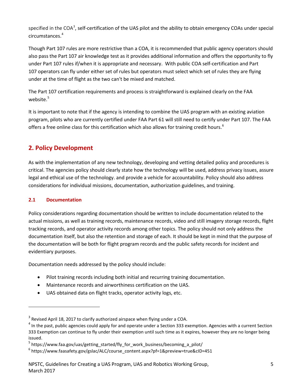specified in the COA<sup>[3](#page-7-2)</sup>, self-certification of the UAS pilot and the ability to obtain emergency COAs under special circumstances. [4](#page-7-3)

Though Part 107 rules are more restrictive than a COA, it is recommended that public agency operators should also pass the Part 107 air knowledge test as it provides additional information and offers the opportunity to fly under Part 107 rules if/when it is appropriate and necessary. With public COA self-certification and Part 107 operators can fly under either set of rules but operators must select which set of rules they are flying under at the time of flight as the two can't be mixed and matched.

The Part 107 certification requirements and process is straightforward is explained clearly on the FAA website. [5](#page-7-4)

It is important to note that if the agency is intending to combine the UAS program with an existing aviation program, pilots who are currently certified under FAA Part 61 will still need to certify under Part 107. The FAA offers a free online class for this certification which also allows for training credit hours.<sup>[6](#page-7-5)</sup>

## <span id="page-7-0"></span>**2. Policy Development**

As with the implementation of any new technology, developing and vetting detailed policy and procedures is critical. The agencies policy should clearly state how the technology will be used, address privacy issues, assure legal and ethical use of the technology. and provide a vehicle for accountability. Policy should also address considerations for individual missions, documentation, authorization guidelines, and training.

#### <span id="page-7-1"></span>**2.1 Documentation**

 $\overline{a}$ 

Policy considerations regarding documentation should be written to include documentation related to the actual missions, as well as training records, maintenance records, video and still imagery storage records, flight tracking records, and operator activity records among other topics. The policy should not only address the documentation itself, but also the retention and storage of each. It should be kept in mind that the purpose of the documentation will be both for flight program records and the public safety records for incident and evidentiary purposes.

Documentation needs addressed by the policy should include:

- Pilot training records including both initial and recurring training documentation.
- Maintenance records and airworthiness certification on the UAS.
- UAS obtained data on flight tracks, operator activity logs, etc.

<span id="page-7-2"></span> $3$  Revised April 18, 2017 to clarify authorized airspace when flying under a COA.

<span id="page-7-3"></span> $4$  In the past, public agencies could apply for and operate under a Section 333 exemption. Agencies with a current Section 333 Exemption can continue to fly under their exemption until such time as it expires, however they are no longer being issued.<br><sup>5</sup> https://www.faa.gov/uas/getting\_started/fly\_for\_work\_business/becoming\_a\_pilot/

<span id="page-7-4"></span>

<span id="page-7-5"></span><sup>6</sup> https://www.faasafety.gov/gslac/ALC/course\_content.aspx?pf=1&preview=true&cID=451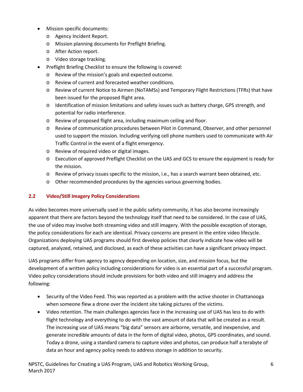- Mission specific documents:
	- o Agency Incident Report.
	- o Mission planning documents for Preflight Briefing.
	- o After Action report.
	- o Video storage tracking.
- Preflight Briefing Checklist to ensure the following is covered:
	- o Review of the mission's goals and expected outcome.
	- o Review of current and forecasted weather conditions.
	- o Review of curren[t Notice to Airmen](https://notams.aim.faa.gov/notamSearch/nsapp.html#/) (NoTAMSs) an[d Temporary Flight Restrictions](http://tfr.faa.gov/tfr2/list.html) (TFRs) that have been issued for the proposed flight area.
	- o Identification of mission limitations and safety issues such as battery charge, GPS strength, and potential for radio interference.
	- o Review of proposed flight area, including maximum ceiling and floor.
	- o Review of communication procedures between Pilot in Command, Observer, and other personnel used to support the mission. Including verifying cell phone numbers used to communicate with Air Traffic Control in the event of a flight emergency.
	- o Review of required video or digital images.
	- o Execution of approved Preflight Checklist on the UAS and GCS to ensure the equipment is ready for the mission.
	- o Review of privacy issues specific to the mission, i.e., has a search warrant been obtained, etc.
	- o Other recommended procedures by the agencies various governing bodies.

#### <span id="page-8-0"></span>**2.2 Video/Still Imagery Policy Considerations**

As video becomes more universally used in the public safety community, it has also become increasingly apparent that there are factors beyond the technology itself that need to be considered. In the case of UAS, the use of video may involve both streaming video and still imagery. With the possible exception of storage, the policy considerations for each are identical. Privacy concerns are present in the entire video lifecycle. Organizations deploying UAS programs should first develop policies that clearly indicate how video will be captured, analyzed, retained, and disclosed, as each of these activities can have a significant privacy impact.

UAS programs differ from agency to agency depending on location, size, and mission focus, but the development of a written policy including considerations for video is an essential part of a successful program. Video policy considerations should include provisions for both video and still imagery and address the following:

- Security of the Video Feed. This was reported as a problem with the active shooter in Chattanooga when someone flew a drone over the incident site taking pictures of the victims.
- Video retention. The main challenges agencies face in the increasing use of UAS has less to do with flight technology and everything to do with the vast amount of data that will be created as a result. The increasing use of UAS means "big data" sensors are airborne, versatile, and inexpensive, and generate incredible amounts of data in the form of digital video, photos, GPS coordinates, and sound. Today a drone, using a standard camera to capture video and photos, can produce half a terabyte of data an hour and agency policy needs to address storage in addition to security.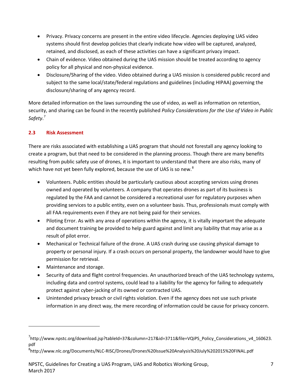- Privacy. Privacy concerns are present in the entire video lifecycle. Agencies deploying UAS video systems should first develop policies that clearly indicate how video will be captured, analyzed, retained, and disclosed, as each of these activities can have a significant privacy impact.
- Chain of evidence. Video obtained during the UAS mission should be treated according to agency policy for all physical and non-physical evidence.
- Disclosure/Sharing of the video. Video obtained during a UAS mission is considered public record and subject to the same local/state/federal regulations and guidelines (including HIPAA) governing the disclosure/sharing of any agency record.

More detailed information on the laws surrounding the use of video, as well as information on retention, security, and sharing can be found in the recently published *Policy Considerations for the Use of Video in Public Safety*. [7](#page-9-1)

#### <span id="page-9-0"></span>**2.3 Risk Assessment**

There are risks associated with establishing a UAS program that should not forestall any agency looking to create a program, but that need to be considered in the planning process. Though there are many benefits resulting from public safety use of drones, it is important to understand that there are also risks, many of which have not yet been fully explored, because the use of UAS is so new.<sup>[8](#page-9-2)</sup>

- Volunteers. Public entities should be particularly cautious about accepting services using drones owned and operated by volunteers. A company that operates drones as part of its business is regulated by the FAA and cannot be considered a recreational user for regulatory purposes when providing services to a public entity, even on a volunteer basis. Thus, professionals must comply with all FAA requirements even if they are not being paid for their services.
- Piloting Error. As with any area of operations within the agency, it is vitally important the adequate and document training be provided to help guard against and limit any liability that may arise as a result of pilot error.
- Mechanical or Technical failure of the drone. A UAS crash during use causing physical damage to property or personal injury. If a crash occurs on personal property, the landowner would have to give permission for retrieval.
- Maintenance and storage.

- Security of data and flight control frequencies. An unauthorized breach of the UAS technology systems, including data and control systems, could lead to a liability for the agency for failing to adequately protect against cyber-jacking of its owned or contracted UAS.
- Unintended privacy breach or civil rights violation. Even if the agency does not use such private information in any direct way, the mere recording of information could be cause for privacy concern.

<span id="page-9-1"></span><sup>&</sup>lt;sup>7</sup>http://www.npstc.org/download.jsp?tableId=37&column=217&id=3711&file=VQiPS\_Policy\_Considerations\_v4\_160623. pdf

<span id="page-9-2"></span><sup>8</sup> http://www.nlc.org/Documents/NLC-RISC/Drones/Drones%20Issue%20Analysis%20July%202015%20FINAL.pdf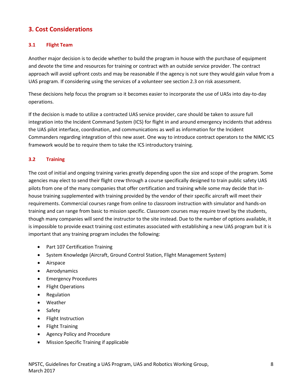## <span id="page-10-0"></span>**3. Cost Considerations**

#### <span id="page-10-1"></span>**3.1 Flight Team**

Another major decision is to decide whether to build the program in house with the purchase of equipment and devote the time and resources for training or contract with an outside service provider. The contract approach will avoid upfront costs and may be reasonable if the agency is not sure they would gain value from a UAS program. If considering using the services of a volunteer see section 2.3 on risk assessment.

These decisions help focus the program so it becomes easier to incorporate the use of UASs into day-to-day operations.

If the decision is made to utilize a contracted UAS service provider, care should be taken to assure full integration into the Incident Command System (ICS) for flight in and around emergency incidents that address the UAS pilot interface, coordination, and communications as well as information for the Incident Commanders regarding integration of this new asset. One way to introduce contract operators to the NIMC ICS framework would be to require them to take the ICS introductory training.

#### <span id="page-10-2"></span>**3.2 Training**

The cost of initial and ongoing training varies greatly depending upon the size and scope of the program. Some agencies may elect to send their flight crew through a course specifically designed to train public safety UAS pilots from one of the many companies that offer certification and training while some may decide that inhouse training supplemented with training provided by the vendor of their specific aircraft will meet their requirements. Commercial courses range from online to classroom instruction with simulator and hands-on training and can range from basic to mission specific. Classroom courses may require travel by the students, though many companies will send the instructor to the site instead. Due to the number of options available, it is impossible to provide exact training cost estimates associated with establishing a new UAS program but it is important that any training program includes the following:

- Part 107 Certification Training
- System Knowledge (Aircraft, Ground Control Station, Flight Management System)
- Airspace
- Aerodynamics
- Emergency Procedures
- Flight Operations
- Regulation
- Weather
- Safety
- Flight Instruction
- Flight Training
- Agency Policy and Procedure
- Mission Specific Training if applicable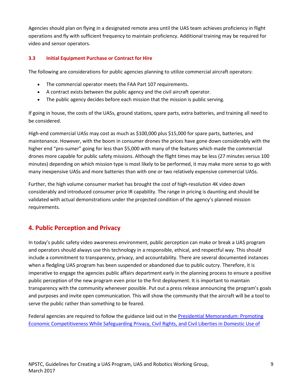Agencies should plan on flying in a designated remote area until the UAS team achieves proficiency in flight operations and fly with sufficient frequency to maintain proficiency. Additional training may be required for video and sensor operators.

#### <span id="page-11-0"></span>**3.3 Initial Equipment Purchase or Contract for Hire**

The following are considerations for public agencies planning to utilize commercial aircraft operators:

- The commercial operator meets the FAA Part 107 requirements.
- A contract exists between the public agency and the civil aircraft operator.
- The public agency decides before each mission that the mission is public serving.

If going in house, the costs of the UASs, ground stations, spare parts, extra batteries, and training all need to be considered.

High-end commercial UASs may cost as much as \$100,000 plus \$15,000 for spare parts, batteries, and maintenance. However, with the boom in consumer drones the prices have gone down considerably with the higher end "pro-sumer" going for less than \$5,000 with many of the features which made the commercial drones more capable for public safety missions. Although the flight times may be less (27 minutes versus 100 minutes) depending on which mission type is most likely to be performed, it may make more sense to go with many inexpensive UASs and more batteries than with one or two relatively expensive commercial UASs.

Further, the high volume consumer market has brought the cost of high-resolution 4K video down considerably and introduced consumer price IR capability. The range in pricing is daunting and should be validated with actual demonstrations under the projected condition of the agency's planned mission requirements.

## <span id="page-11-1"></span>**4. Public Perception and Privacy**

In today's public safety video awareness environment, public perception can make or break a UAS program and operators should always use this technology in a responsible, ethical, and respectful way. This should include a commitment to transparency, privacy, and accountability. There are several documented instances when a fledgling UAS program has been suspended or abandoned due to public outcry. Therefore, it is imperative to engage the agencies public affairs department early in the planning process to ensure a positive public perception of the new program even prior to the first deployment. It is important to maintain transparency with the community whenever possible. Put out a press release announcing the program's goals and purposes and invite open communication. This will show the community that the aircraft will be a tool to serve the public rather than something to be feared.

Federal agencies are required to follow the guidance laid out in the Presidential Memorandum: Promoting [Economic Competitiveness While Safeguarding Privacy, Civil Rights, and Civil Liberties in Domestic Use of](https://obamawhitehouse.archives.gov/the-press-office/2015/02/15/presidential-memorandum-promoting-economic-competitiveness-while-safegua)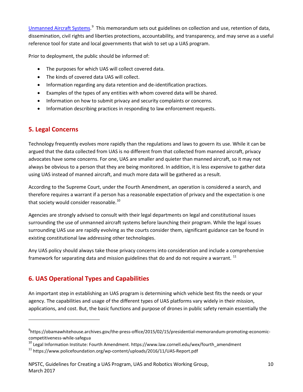Unmanned Aircraft Systems.<sup>[9](#page-12-2)</sup> This memorandum sets out guidelines on collection and use, retention of data, dissemination, civil rights and liberties protections, accountability, and transparency, and may serve as a useful reference tool for state and local governments that wish to set up a UAS program.

Prior to deployment, the public should be informed of:

- The purposes for which UAS will collect covered data.
- The kinds of covered data UAS will collect.
- Information regarding any data retention and de-identification practices.
- Examples of the types of any entities with whom covered data will be shared.
- Information on how to submit privacy and security complaints or concerns.
- Information describing practices in responding to law enforcement requests.

## <span id="page-12-0"></span>**5. Legal Concerns**

 $\overline{a}$ 

Technology frequently evolves more rapidly than the regulations and laws to govern its use. While it can be argued that the data collected from UAS is no different from that collected from manned aircraft, privacy advocates have some concerns. For one, UAS are smaller and quieter than manned aircraft, so it may not always be obvious to a person that they are being monitored. In addition, it is less expensive to gather data using UAS instead of manned aircraft, and much more data will be gathered as a result.

According to the Supreme Court, under the Fourth Amendment, an operation is considered a search, and therefore requires a warrant if a person has a reasonable expectation of privacy and the expectation is one that society would consider reasonable. $^{10}$  $^{10}$  $^{10}$ 

Agencies are strongly advised to consult with their legal departments on legal and constitutional issues surrounding the use of unmanned aircraft systems before launching their program. While the legal issues surrounding UAS use are rapidly evolving as the courts consider them, significant guidance can be found in existing constitutional law addressing other technologies.

Any UAS policy should always take those privacy concerns into consideration and include a comprehensive framework for separating data and mission guidelines that do and do not require a warrant.<sup>[11](#page-12-4)</sup>

## <span id="page-12-1"></span>**6. UAS Operational Types and Capabilities**

An important step in establishing an UAS program is determining which vehicle best fits the needs or your agency. The capabilities and usage of the different types of UAS platforms vary widely in their mission, applications, and cost. But, the basic functions and purpose of drones in public safety remain essentially the

<span id="page-12-2"></span><sup>9</sup> https://obamawhitehouse.archives.gov/the-press-office/2015/02/15/presidential-memorandum-promoting-economiccompetitiveness-while-safegua

<span id="page-12-3"></span> $10$  Legal Information Institute: Fourth Amendment. https://www.law.cornell.edu/wex/fourth\_amendment

<span id="page-12-4"></span><sup>11</sup> https://www.policefoundation.org/wp-content/uploads/2016/11/UAS-Report.pdf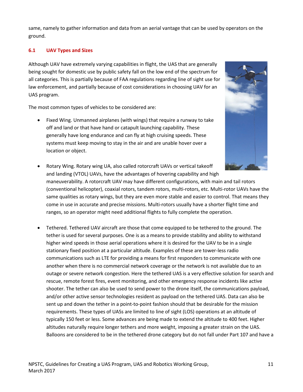same, namely to gather information and data from an aerial vantage that can be used by operators on the ground.

#### <span id="page-13-0"></span>**6.1 UAV Types and Sizes**

Although UAV have extremely varying capabilities in flight, the UAS that are generally being sought for domestic use by public safety fall on the low end of the spectrum for all categories. This is partially because of FAA regulations regarding line of sight use for law enforcement, and partially because of cost considerations in choosing UAV for an UAS program.

The most common types of vehicles to be considered are:

• Fixed Wing. Unmanned airplanes (with wings) that require a runway to take off and land or that have hand or catapult launching capability. These generally have long endurance and can fly at high cruising speeds. These systems must keep moving to stay in the air and are unable hover over a location or object.



- Rotary Wing. Rotary wing UA, also called rotorcraft UAVs or vertical takeoff and landing (VTOL) UAVs, have the advantages of hovering capability and high maneuverability. A rotorcraft UAV may have different configurations, with main and tail rotors (conventional helicopter), coaxial rotors, tandem rotors, multi-rotors, etc. Multi-rotor UAVs have the same qualities as rotary wings, but they are even more stable and easier to control. That means they come in use in accurate and precise missions. Multi-rotors usually have a shorter flight time and ranges, so an operator might need additional flights to fully complete the operation.
- Tethered. Tethered UAV aircraft are those that come equipped to be tethered to the ground. The tether is used for several purposes. One is as a means to provide stability and ability to withstand higher wind speeds in those aerial operations where it is desired for the UAV to be in a single stationary fixed position at a particular altitude. Examples of these are tower-less radio communications such as LTE for providing a means for first responders to communicate with one another when there is no commercial network coverage or the network is not available due to an outage or severe network congestion. Here the tethered UAS is a very effective solution for search and rescue, remote forest fires, event monitoring, and other emergency response incidents like active shooter. The tether can also be used to send power to the drone itself, the communications payload, and/or other active sensor technologies resident as payload on the tethered UAS. Data can also be sent up and down the tether in a point-to-point fashion should that be desirable for the mission requirements. These types of UASs are limited to line of sight (LOS) operations at an altitude of typically 150 feet or less. Some advances are being made to extend the altitude to 400 feet. Higher altitudes naturally require longer tethers and more weight, imposing a greater strain on the UAS. Balloons are considered to be in the tethered drone category but do not fall under Part 107 and have a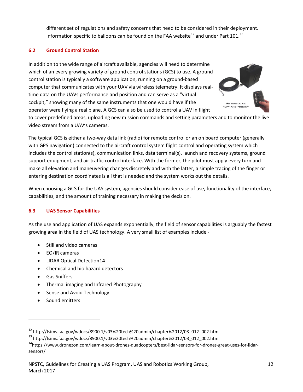different set of regulations and safety concerns that need to be considered in their deployment. Information specific to balloons can be found on the FAA website<sup>[12](#page-14-2)</sup> and under Part 101.<sup>[13](#page-14-3)</sup>

#### <span id="page-14-0"></span>**6.2 Ground Control Station**

In addition to the wide range of aircraft available, agencies will need to determine which of an every growing variety of ground control stations (GCS) to use. A ground control station is typically a software application, running on a ground-based computer that communicates with your UAV via wireless telemetry. It displays realtime data on the UAVs performance and position and can serve as a "virtual cockpit," showing many of the same instruments that one would have if the operator were flying a real plane. A GCS can also be used to control a UAV in flight



to cover predefined areas, uploading new mission commands and setting parameters and to monitor the live video stream from a UAV's cameras.

The typical GCS is either a two-way data link (radio) for remote control or an on board computer (generally with GPS navigation) connected to the aircraft control system flight control and operating system which includes the control station(s), communication links, data terminal(s), launch and recovery systems, ground support equipment, and air traffic control interface. With the former, the pilot must apply every turn and make all elevation and maneuvering changes discretely and with the latter, a simple tracing of the finger or entering destination coordinates is all that is needed and the system works out the details.

When choosing a GCS for the UAS system, agencies should consider ease of use, functionality of the interface, capabilities, and the amount of training necessary in making the decision.

#### <span id="page-14-1"></span>**6.3 UAS Sensor Capabilities**

As the use and application of UAS expands exponentially, the field of sensor capabilities is arguably the fastest growing area in the field of UAS technology. A very small list of examples include -

- Still and video cameras
- EO/IR cameras
- LIDAR Optical Detection[14](#page-14-4)
- Chemical and bio hazard detectors
- Gas Sniffers
- Thermal imaging and Infrared Photography
- Sense and Avoid Technology
- Sound emitters

<span id="page-14-2"></span> $12$  http://fsims.faa.gov/wdocs/8900.1/v03%20tech%20admin/chapter%2012/03\_012\_002.htm

<span id="page-14-3"></span><sup>13</sup> http://fsims.faa.gov/wdocs/8900.1/v03%20tech%20admin/chapter%2012/03\_012\_002.htm

<span id="page-14-4"></span><sup>&</sup>lt;sup>14</sup>https://www.dronezon.com/learn-about-drones-quadcopters/best-lidar-sensors-for-drones-great-uses-for-lidarsensors/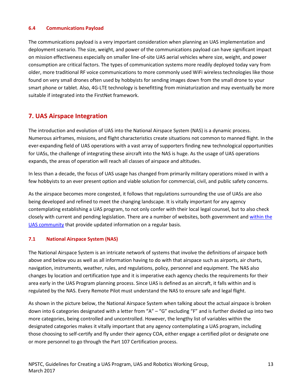#### <span id="page-15-0"></span>**6.4 Communications Payload**

The communications payload is a very important consideration when planning an UAS implementation and deployment scenario. The size, weight, and power of the communications payload can have significant impact on mission effectiveness especially on smaller line-of-site UAS aerial vehicles where size, weight, and power consumption are critical factors. The types of communication systems more readily deployed today vary from older, more traditional RF voice communications to more commonly used WiFi wireless technologies like those found on very small drones often used by hobbyists for sending images down from the small drone to your smart phone or tablet. Also, 4G-LTE technology is benefitting from miniaturization and may eventually be more suitable if integrated into the FirstNet framework.

## <span id="page-15-1"></span>**7. UAS Airspace Integration**

The introduction and evolution of UAS into the National Airspace System (NAS) is a dynamic process. Numerous airframes, missions, and flight characteristics create situations not common to manned flight. In the ever-expanding field of UAS operations with a vast array of supporters finding new technological opportunities for UASs, the challenge of integrating these aircraft into the NAS is huge. As the usage of UAS operations expands, the areas of operation will reach all classes of airspace and altitudes.

In less than a decade, the focus of UAS usage has changed from primarily military operations mixed in with a few hobbyists to an ever present option and viable solution for commercial, civil, and public safety concerns.

As the airspace becomes more congested, it follows that regulations surrounding the use of UASs are also being developed and refined to meet the changing landscape. It is vitally important for any agency contemplating establishing a UAS program, to not only confer with their local legal counsel, but to also check closely with current and pending legislation. There are a number of websites, both government an[d within the](http://amablog.modelaircraft.org/amagov/drone-legislation)  [UAS community](http://amablog.modelaircraft.org/amagov/drone-legislation) that provide updated information on a regular basis.

#### <span id="page-15-2"></span>**7.1 National Airspace System (NAS)**

The National Airspace System is an intricate network of systems that involve the definitions of airspace both above and below you as well as all information having to do with that airspace such as airports, air charts, navigation, instruments, weather, rules, and regulations, policy, personnel and equipment. The NAS also changes by location and certification type and it is imperative each agency checks the requirements for their area early in the UAS Program planning process. Since UAS is defined as an aircraft, it falls within and is regulated by the NAS. Every Remote Pilot must understand the NAS to ensure safe and legal flight.

As shown in the picture below, the National Airspace System when talking about the actual airspace is broken down into 6 categories designated with a letter from "A" – "G" excluding "F" and is further divided up into two more categories, being controlled and uncontrolled. However, the lengthy list of variables within the designated categories makes it vitally important that any agency contemplating a UAS program, including those choosing to self-certify and fly under their agency COA, either engage a certified pilot or designate one or more personnel to go through the Part 107 Certification process.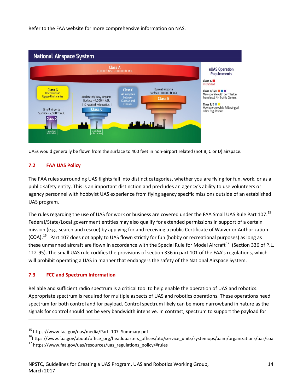Refer to the FAA website for more comprehensive information on NAS.



UASs would generally be flown from the surface to 400 feet in non-airport related (not B, C or D) airspace.

#### <span id="page-16-0"></span>**7.2 FAA UAS Policy**

The FAA rules surrounding UAS flights fall into distinct categories, whether you are flying for fun, work, or as a public safety entity. This is an important distinction and precludes an agency's ability to use volunteers or agency personnel with hobbyist UAS experience from flying agency specific missions outside of an established UAS program.

The rules regarding the use of UAS for work or business are covered under the FAA Small UAS Rule Part 107.<sup>[15](#page-16-2)</sup> Federal/State/Local government entities may also qualify for extended permissions in support of a certain mission (e.g., search and rescue) by applying for and receiving a public Certificate of Waiver or Authorization (COA).<sup>[16](#page-16-3)</sup> Part 107 does not apply to UAS flown strictly for fun (hobby or recreational purposes) as long as these unmanned aircraft are flown in accordance with the Special Rule for Model Aircraft<sup>17</sup> (Section 336 of P.L. 112-95). The small UAS rule codifies the provisions of section 336 in part 101 of the FAA's regulations, which will prohibit operating a UAS in manner that endangers the safety of the National Airspace System.

#### <span id="page-16-1"></span>**7.3 FCC and Spectrum Information**

 $\overline{a}$ 

Reliable and sufficient radio spectrum is a critical tool to help enable the operation of UAS and robotics. Appropriate spectrum is required for multiple aspects of UAS and robotics operations. These operations need spectrum for both control and for payload. Control spectrum likely can be more narrowband in nature as the signals for control should not be very bandwidth intensive. In contrast, spectrum to support the payload for

<span id="page-16-2"></span><sup>15</sup> https://www.faa.gov/uas/media/Part\_107\_Summary.pdf

<span id="page-16-3"></span><sup>&</sup>lt;sup>16</sup>https://www.faa.gov/about/office\_org/headquarters\_offices/ato/service\_units/systemops/aaim/organizations/uas/coa

<span id="page-16-4"></span> $17$  https://www.faa.gov/uas/resources/uas\_regulations\_policy/#rules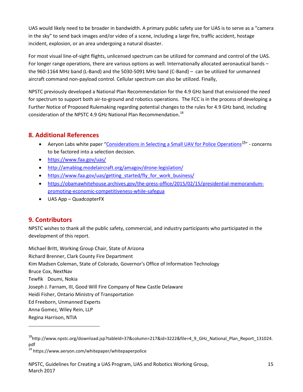UAS would likely need to be broader in bandwidth. A primary public safety use for UAS is to serve as a "camera in the sky" to send back images and/or video of a scene, including a large fire, traffic accident, hostage incident, explosion, or an area undergoing a natural disaster.

For most visual line-of-sight flights, unlicensed spectrum can be utilized for command and control of the UAS. For longer range operations, there are various options as well. Internationally allocated aeronautical bands – the 960-1164 MHz band (L-Band) and the 5030-5091 MHz band (C-Band) – can be utilized for unmanned aircraft command non-payload control. Cellular spectrum can also be utilized. Finally,

NPSTC previously developed a National Plan Recommendation for the 4.9 GHz band that envisioned the need for spectrum to support both air-to-ground and robotics operations. The FCC is in the process of developing a Further Notice of Proposed Rulemaking regarding potential changes to the rules for 4.9 GHz band, including consideration of the NPSTC 4.9 GHz National Plan Recommendation.<sup>18</sup>

## <span id="page-17-0"></span>**8. Additional References**

- Aeryon Labs white paper ["Considerations in Selecting a Small](https://www.aeryon.com/whitepaper/whitepaperpolice) UAV for Police Operations<sup>19</sup>" concerns to be factored into a selection decision.
- <https://www.faa.gov/uas/>
- <http://amablog.modelaircraft.org/amagov/drone-legislation/>
- https://www.faa.gov/uas/getting started/fly for work business/
- [https://obamawhitehouse.archives.gov/the-press-office/2015/02/15/presidential-memorandum](https://obamawhitehouse.archives.gov/the-press-office/2015/02/15/presidential-memorandum-promoting-economic-competitiveness-while-safegua)[promoting-economic-competitiveness-while-safegua](https://obamawhitehouse.archives.gov/the-press-office/2015/02/15/presidential-memorandum-promoting-economic-competitiveness-while-safegua)
- UAS App QuadcopterFX

## <span id="page-17-1"></span>**9. Contributors**

 $\overline{a}$ 

NPSTC wishes to thank all the public safety, commercial, and industry participants who participated in the development of this report.

Michael Britt, Working Group Chair, State of Arizona Richard Brenner, Clark County Fire Department Kim Madsen Coleman, State of Colorado, Governor's Office of Information Technology Bruce Cox, NextNav Tewfik Doumi, Nokia Joseph J. Farnam, III, Good Will Fire Company of New Castle Delaware Heidi Fisher, Ontario Ministry of Transportation Ed Freeborn, Unmanned Experts Anna Gomez, Wiley Rein, LLP Regina Harrison, NTIA

<span id="page-17-3"></span><sup>19</sup> https://www.aeryon.com/whitepaper/whitepaperpolice

<span id="page-17-2"></span><sup>18</sup>http://www.npstc.org/download.jsp?tableId=37&column=217&id=3222&file=4\_9\_GHz\_National\_Plan\_Report\_131024. pdf